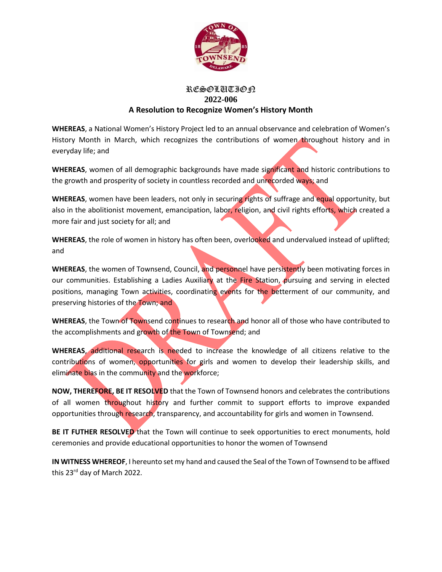

## RESOLUTION **2022-006 A Resolution to Recognize Women's History Month**

**WHEREAS**, a National Women's History Project led to an annual observance and celebration of Women's History Month in March, which recognizes the contributions of women throughout history and in everyday life; and

**WHEREAS**, women of all demographic backgrounds have made significant and historic contributions to the growth and prosperity of society in countless recorded and unrecorded ways; and

**WHEREAS**, women have been leaders, not only in securing rights of suffrage and equal opportunity, but also in the abolitionist movement, emancipation, labor, religion, and civil rights efforts, which created a more fair and just society for all; and

**WHEREAS**, the role of women in history has often been, overlooked and undervalued instead of uplifted; and

WHEREAS, the women of Townsend, Council, and personnel have persistently been motivating forces in our communities. Establishing a Ladies Auxiliary at the Fire Station, pursuing and serving in elected positions, managing Town activities, coordinating events for the betterment of our community, and preserving histories of the Town; and

WHEREAS, the Town of Townsend continues to research and honor all of those who have contributed to the accomplishments and growth of the Town of Townsend; and

**WHEREAS**, additional research is needed to increase the knowledge of all citizens relative to the contributions of women, opportunities for girls and women to develop their leadership skills, and eliminate bias in the community and the workforce;

**NOW, THEREFORE, BE IT RESOLVED** that the Town of Townsend honors and celebrates the contributions of all women throughout history and further commit to support efforts to improve expanded opportunities through research, transparency, and accountability for girls and women in Townsend.

**BE IT FUTHER RESOLVED** that the Town will continue to seek opportunities to erect monuments, hold ceremonies and provide educational opportunities to honor the women of Townsend

**IN WITNESS WHEREOF**, I hereunto set my hand and caused the Seal of the Town of Townsend to be affixed this 23<sup>rd</sup> day of March 2022.